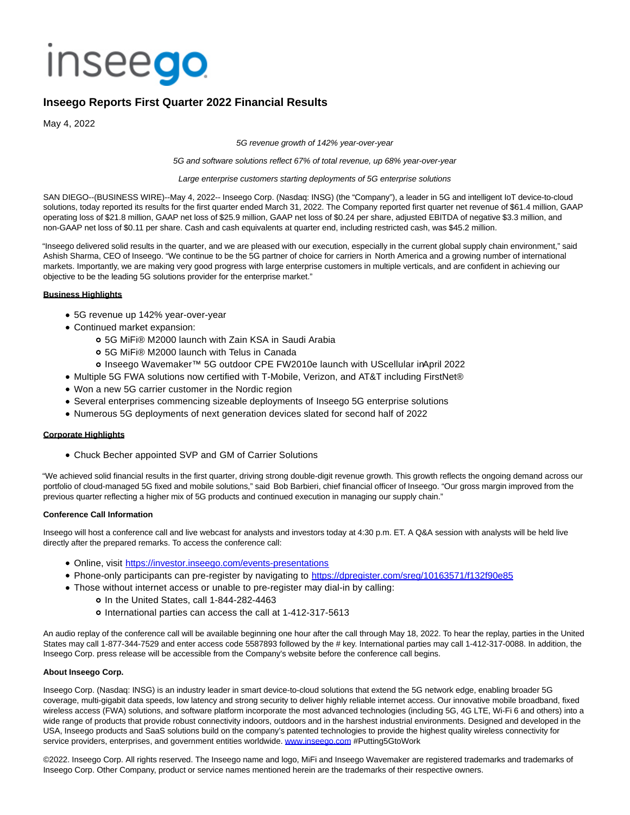# **Inseego**

# **Inseego Reports First Quarter 2022 Financial Results**

May 4, 2022

5G revenue growth of 142% year-over-year

5G and software solutions reflect 67% of total revenue, up 68% year-over-year

Large enterprise customers starting deployments of 5G enterprise solutions

SAN DIEGO--(BUSINESS WIRE)--May 4, 2022-- Inseego Corp. (Nasdaq: INSG) (the "Company"), a leader in 5G and intelligent IoT device-to-cloud solutions, today reported its results for the first quarter ended March 31, 2022. The Company reported first quarter net revenue of \$61.4 million, GAAP operating loss of \$21.8 million, GAAP net loss of \$25.9 million, GAAP net loss of \$0.24 per share, adjusted EBITDA of negative \$3.3 million, and non-GAAP net loss of \$0.11 per share. Cash and cash equivalents at quarter end, including restricted cash, was \$45.2 million.

"Inseego delivered solid results in the quarter, and we are pleased with our execution, especially in the current global supply chain environment," said Ashish Sharma, CEO of Inseego. "We continue to be the 5G partner of choice for carriers in North America and a growing number of international markets. Importantly, we are making very good progress with large enterprise customers in multiple verticals, and are confident in achieving our objective to be the leading 5G solutions provider for the enterprise market."

# **Business Highlights**

- 5G revenue up 142% year-over-year
- Continued market expansion:
	- 5G MiFi® M2000 launch with Zain KSA in Saudi Arabia
	- 5G MiFi® M2000 launch with Telus in Canada
	- $\circ$  Inseego Wavemaker™ 5G outdoor CPE FW2010e launch with UScellular in April 2022
- Multiple 5G FWA solutions now certified with T-Mobile, Verizon, and AT&T including FirstNet®
- Won a new 5G carrier customer in the Nordic region
- Several enterprises commencing sizeable deployments of Inseego 5G enterprise solutions
- Numerous 5G deployments of next generation devices slated for second half of 2022

# **Corporate Highlights**

Chuck Becher appointed SVP and GM of Carrier Solutions

"We achieved solid financial results in the first quarter, driving strong double-digit revenue growth. This growth reflects the ongoing demand across our portfolio of cloud-managed 5G fixed and mobile solutions," said Bob Barbieri, chief financial officer of Inseego. "Our gross margin improved from the previous quarter reflecting a higher mix of 5G products and continued execution in managing our supply chain."

# **Conference Call Information**

Inseego will host a conference call and live webcast for analysts and investors today at 4:30 p.m. ET. A Q&A session with analysts will be held live directly after the prepared remarks. To access the conference call:

- Online, visit [https://investor.inseego.com/events-presentations](https://cts.businesswire.com/ct/CT?id=smartlink&url=https%3A%2F%2Finvestor.inseego.com%2Fevents-presentations&esheet=52707335&newsitemid=20220504005380&lan=en-US&anchor=https%3A%2F%2Finvestor.inseego.com%2Fevents-presentations&index=1&md5=1805166731ff05c2f66484d77d332ce4)
- Phone-only participants can pre-register by navigating to [https://dpregister.com/sreg/10163571/f132f90e85](https://cts.businesswire.com/ct/CT?id=smartlink&url=https%3A%2F%2Fprotect-us.mimecast.com%2Fs%2FQrSGC73yMrhZYRjPI8vRIM%3Fdomain%3Ddpregister.com&esheet=52707335&newsitemid=20220504005380&lan=en-US&anchor=https%3A%2F%2Fdpregister.com%2Fsreg%2F10163571%2Ff132f90e85&index=2&md5=3ac2bc553e86cb25069c0980c9b1ffb8)
- Those without internet access or unable to pre-register may dial-in by calling:
	- o In the United States, call 1-844-282-4463
	- o International parties can access the call at 1-412-317-5613

An audio replay of the conference call will be available beginning one hour after the call through May 18, 2022. To hear the replay, parties in the United States may call 1-877-344-7529 and enter access code 5587893 followed by the # key. International parties may call 1-412-317-0088. In addition, the Inseego Corp. press release will be accessible from the Company's website before the conference call begins.

# **About Inseego Corp.**

Inseego Corp. (Nasdaq: INSG) is an industry leader in smart device-to-cloud solutions that extend the 5G network edge, enabling broader 5G coverage, multi-gigabit data speeds, low latency and strong security to deliver highly reliable internet access. Our innovative mobile broadband, fixed wireless access (FWA) solutions, and software platform incorporate the most advanced technologies (including 5G, 4G LTE, Wi-Fi 6 and others) into a wide range of products that provide robust connectivity indoors, outdoors and in the harshest industrial environments. Designed and developed in the USA, Inseego products and SaaS solutions build on the company's patented technologies to provide the highest quality wireless connectivity for service providers, enterprises, and government entities worldwide[. www.inseego.com #](https://cts.businesswire.com/ct/CT?id=smartlink&url=http%3A%2F%2Fwww.inseego.com&esheet=52707335&newsitemid=20220504005380&lan=en-US&anchor=www.inseego.com&index=3&md5=8351de4a61147c8e89517ed104afe777)Putting5GtoWork

©2022. Inseego Corp. All rights reserved. The Inseego name and logo, MiFi and Inseego Wavemaker are registered trademarks and trademarks of Inseego Corp. Other Company, product or service names mentioned herein are the trademarks of their respective owners.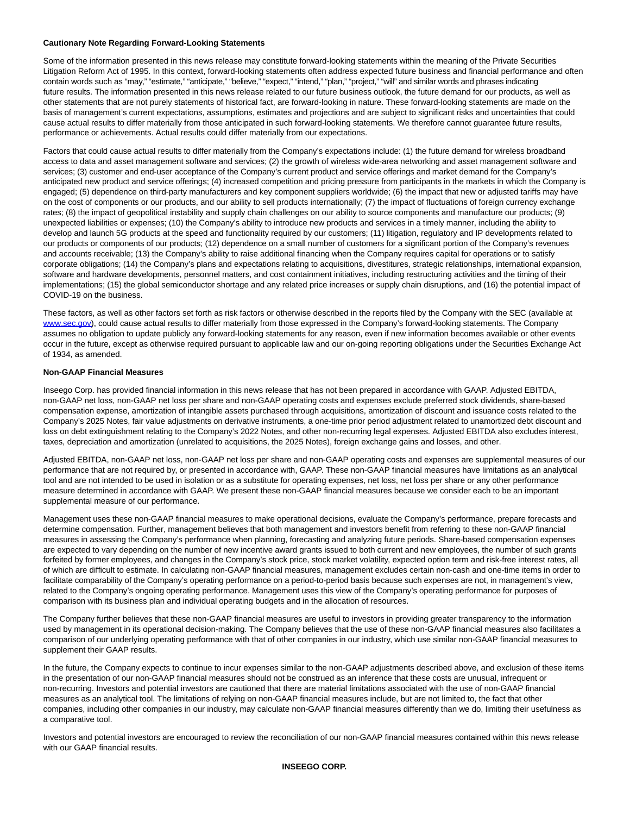### **Cautionary Note Regarding Forward-Looking Statements**

Some of the information presented in this news release may constitute forward-looking statements within the meaning of the Private Securities Litigation Reform Act of 1995. In this context, forward-looking statements often address expected future business and financial performance and often contain words such as "may," "estimate," "anticipate," "believe," "expect," "intend," "plan," "project," "will" and similar words and phrases indicating future results. The information presented in this news release related to our future business outlook, the future demand for our products, as well as other statements that are not purely statements of historical fact, are forward-looking in nature. These forward-looking statements are made on the basis of management's current expectations, assumptions, estimates and projections and are subject to significant risks and uncertainties that could cause actual results to differ materially from those anticipated in such forward-looking statements. We therefore cannot guarantee future results, performance or achievements. Actual results could differ materially from our expectations.

Factors that could cause actual results to differ materially from the Company's expectations include: (1) the future demand for wireless broadband access to data and asset management software and services; (2) the growth of wireless wide-area networking and asset management software and services; (3) customer and end-user acceptance of the Company's current product and service offerings and market demand for the Company's anticipated new product and service offerings; (4) increased competition and pricing pressure from participants in the markets in which the Company is engaged; (5) dependence on third-party manufacturers and key component suppliers worldwide; (6) the impact that new or adjusted tariffs may have on the cost of components or our products, and our ability to sell products internationally; (7) the impact of fluctuations of foreign currency exchange rates; (8) the impact of geopolitical instability and supply chain challenges on our ability to source components and manufacture our products; (9) unexpected liabilities or expenses; (10) the Company's ability to introduce new products and services in a timely manner, including the ability to develop and launch 5G products at the speed and functionality required by our customers; (11) litigation, regulatory and IP developments related to our products or components of our products; (12) dependence on a small number of customers for a significant portion of the Company's revenues and accounts receivable; (13) the Company's ability to raise additional financing when the Company requires capital for operations or to satisfy corporate obligations; (14) the Company's plans and expectations relating to acquisitions, divestitures, strategic relationships, international expansion, software and hardware developments, personnel matters, and cost containment initiatives, including restructuring activities and the timing of their implementations; (15) the global semiconductor shortage and any related price increases or supply chain disruptions, and (16) the potential impact of COVID-19 on the business.

These factors, as well as other factors set forth as risk factors or otherwise described in the reports filed by the Company with the SEC (available at [www.sec.gov\),](https://cts.businesswire.com/ct/CT?id=smartlink&url=http%3A%2F%2Fwww.sec.gov&esheet=52707335&newsitemid=20220504005380&lan=en-US&anchor=www.sec.gov&index=4&md5=3419c13b5ecf0f8d533754dea3129366) could cause actual results to differ materially from those expressed in the Company's forward-looking statements. The Company assumes no obligation to update publicly any forward-looking statements for any reason, even if new information becomes available or other events occur in the future, except as otherwise required pursuant to applicable law and our on-going reporting obligations under the Securities Exchange Act of 1934, as amended.

# **Non-GAAP Financial Measures**

Inseego Corp. has provided financial information in this news release that has not been prepared in accordance with GAAP. Adjusted EBITDA, non-GAAP net loss, non-GAAP net loss per share and non-GAAP operating costs and expenses exclude preferred stock dividends, share-based compensation expense, amortization of intangible assets purchased through acquisitions, amortization of discount and issuance costs related to the Company's 2025 Notes, fair value adjustments on derivative instruments, a one-time prior period adjustment related to unamortized debt discount and loss on debt extinguishment relating to the Company's 2022 Notes, and other non-recurring legal expenses. Adjusted EBITDA also excludes interest, taxes, depreciation and amortization (unrelated to acquisitions, the 2025 Notes), foreign exchange gains and losses, and other.

Adjusted EBITDA, non-GAAP net loss, non-GAAP net loss per share and non-GAAP operating costs and expenses are supplemental measures of our performance that are not required by, or presented in accordance with, GAAP. These non-GAAP financial measures have limitations as an analytical tool and are not intended to be used in isolation or as a substitute for operating expenses, net loss, net loss per share or any other performance measure determined in accordance with GAAP. We present these non-GAAP financial measures because we consider each to be an important supplemental measure of our performance.

Management uses these non-GAAP financial measures to make operational decisions, evaluate the Company's performance, prepare forecasts and determine compensation. Further, management believes that both management and investors benefit from referring to these non-GAAP financial measures in assessing the Company's performance when planning, forecasting and analyzing future periods. Share-based compensation expenses are expected to vary depending on the number of new incentive award grants issued to both current and new employees, the number of such grants forfeited by former employees, and changes in the Company's stock price, stock market volatility, expected option term and risk-free interest rates, all of which are difficult to estimate. In calculating non-GAAP financial measures, management excludes certain non-cash and one-time items in order to facilitate comparability of the Company's operating performance on a period-to-period basis because such expenses are not, in management's view, related to the Company's ongoing operating performance. Management uses this view of the Company's operating performance for purposes of comparison with its business plan and individual operating budgets and in the allocation of resources.

The Company further believes that these non-GAAP financial measures are useful to investors in providing greater transparency to the information used by management in its operational decision-making. The Company believes that the use of these non-GAAP financial measures also facilitates a comparison of our underlying operating performance with that of other companies in our industry, which use similar non-GAAP financial measures to supplement their GAAP results.

In the future, the Company expects to continue to incur expenses similar to the non-GAAP adjustments described above, and exclusion of these items in the presentation of our non-GAAP financial measures should not be construed as an inference that these costs are unusual, infrequent or non-recurring. Investors and potential investors are cautioned that there are material limitations associated with the use of non-GAAP financial measures as an analytical tool. The limitations of relying on non-GAAP financial measures include, but are not limited to, the fact that other companies, including other companies in our industry, may calculate non-GAAP financial measures differently than we do, limiting their usefulness as a comparative tool.

Investors and potential investors are encouraged to review the reconciliation of our non-GAAP financial measures contained within this news release with our GAAP financial results.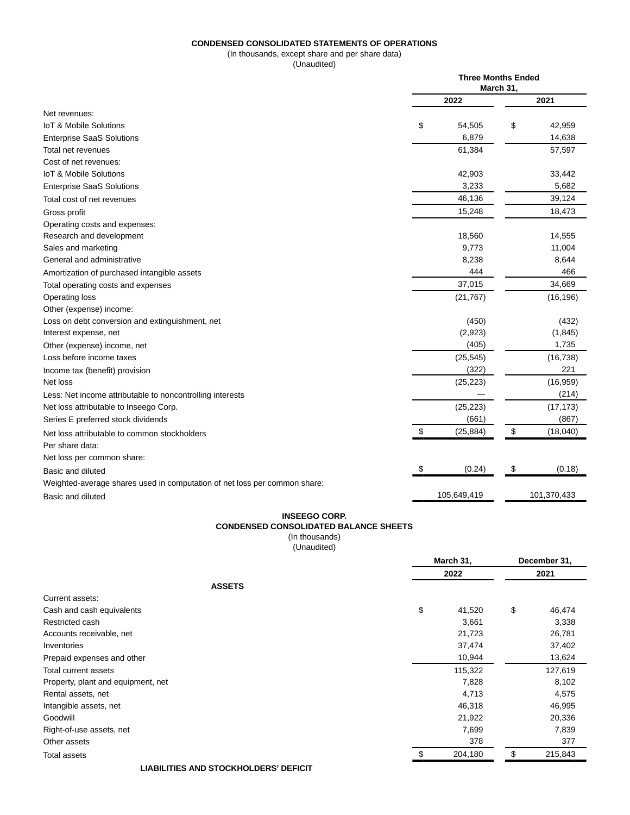# **CONDENSED CONSOLIDATED STATEMENTS OF OPERATIONS**

# (In thousands, except share and per share data)

(Unaudited)

|                                                                           | <b>Three Months Ended</b><br>March 31, |             |    |             |
|---------------------------------------------------------------------------|----------------------------------------|-------------|----|-------------|
|                                                                           |                                        | 2022        |    | 2021        |
| Net revenues:                                                             |                                        |             |    |             |
| IoT & Mobile Solutions                                                    | \$                                     | 54,505      | \$ | 42,959      |
| <b>Enterprise SaaS Solutions</b>                                          |                                        | 6,879       |    | 14,638      |
| Total net revenues                                                        |                                        | 61,384      |    | 57,597      |
| Cost of net revenues:                                                     |                                        |             |    |             |
| <b>IoT &amp; Mobile Solutions</b>                                         |                                        | 42,903      |    | 33,442      |
| <b>Enterprise SaaS Solutions</b>                                          |                                        | 3,233       |    | 5,682       |
| Total cost of net revenues                                                |                                        | 46,136      |    | 39,124      |
| Gross profit                                                              |                                        | 15,248      |    | 18,473      |
| Operating costs and expenses:                                             |                                        |             |    |             |
| Research and development                                                  |                                        | 18,560      |    | 14,555      |
| Sales and marketing                                                       |                                        | 9,773       |    | 11,004      |
| General and administrative                                                |                                        | 8,238       |    | 8,644       |
| Amortization of purchased intangible assets                               |                                        | 444         |    | 466         |
| Total operating costs and expenses                                        |                                        | 37,015      |    | 34,669      |
| Operating loss                                                            |                                        | (21, 767)   |    | (16, 196)   |
| Other (expense) income:                                                   |                                        |             |    |             |
| Loss on debt conversion and extinguishment, net                           |                                        | (450)       |    | (432)       |
| Interest expense, net                                                     |                                        | (2,923)     |    | (1, 845)    |
| Other (expense) income, net                                               |                                        | (405)       |    | 1,735       |
| Loss before income taxes                                                  |                                        | (25, 545)   |    | (16, 738)   |
| Income tax (benefit) provision                                            |                                        | (322)       |    | 221         |
| Net loss                                                                  |                                        | (25, 223)   |    | (16, 959)   |
| Less: Net income attributable to noncontrolling interests                 |                                        |             |    | (214)       |
| Net loss attributable to Inseego Corp.                                    |                                        | (25, 223)   |    | (17, 173)   |
| Series E preferred stock dividends                                        |                                        | (661)       |    | (867)       |
| Net loss attributable to common stockholders                              | $\boldsymbol{\$}$                      | (25, 884)   | \$ | (18,040)    |
| Per share data:                                                           |                                        |             |    |             |
| Net loss per common share:                                                |                                        |             |    |             |
| Basic and diluted                                                         | \$                                     | (0.24)      | \$ | (0.18)      |
| Weighted-average shares used in computation of net loss per common share: |                                        |             |    |             |
| Basic and diluted                                                         |                                        | 105,649,419 |    | 101,370,433 |

# **INSEEGO CORP. CONDENSED CONSOLIDATED BALANCE SHEETS**

(In thousands) (Unaudited)

| (Uriduulleu)                                 |      |           |      |              |  |
|----------------------------------------------|------|-----------|------|--------------|--|
|                                              |      | March 31, |      | December 31, |  |
|                                              | 2022 |           | 2021 |              |  |
| <b>ASSETS</b>                                |      |           |      |              |  |
| Current assets:                              |      |           |      |              |  |
| Cash and cash equivalents                    | \$   | 41,520    | \$   | 46,474       |  |
| Restricted cash                              |      | 3,661     |      | 3,338        |  |
| Accounts receivable, net                     |      | 21,723    |      | 26,781       |  |
| Inventories                                  |      | 37,474    |      | 37,402       |  |
| Prepaid expenses and other                   |      | 10,944    |      | 13,624       |  |
| Total current assets                         |      | 115,322   |      | 127,619      |  |
| Property, plant and equipment, net           |      | 7,828     |      | 8,102        |  |
| Rental assets, net                           |      | 4,713     |      | 4,575        |  |
| Intangible assets, net                       |      | 46,318    |      | 46,995       |  |
| Goodwill                                     |      | 21,922    |      | 20,336       |  |
| Right-of-use assets, net                     |      | 7,699     |      | 7,839        |  |
| Other assets                                 |      | 378       |      | 377          |  |
| Total assets                                 |      | 204,180   | \$   | 215,843      |  |
| <b>LIABILITIES AND STOCKHOLDERS' DEFICIT</b> |      |           |      |              |  |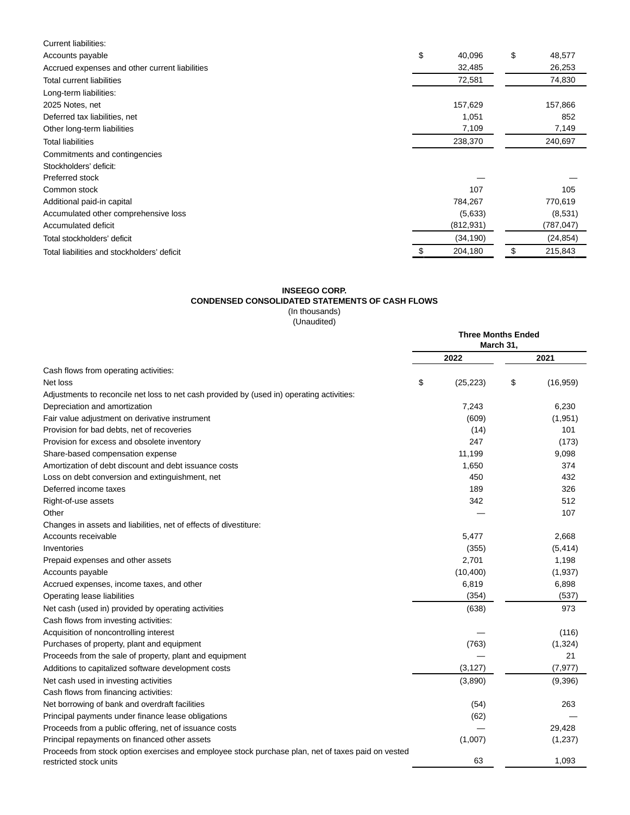| <b>Current liabilities:</b>                    |               |               |
|------------------------------------------------|---------------|---------------|
| Accounts payable                               | \$<br>40,096  | \$<br>48,577  |
| Accrued expenses and other current liabilities | 32,485        | 26,253        |
| <b>Total current liabilities</b>               | 72,581        | 74,830        |
| Long-term liabilities:                         |               |               |
| 2025 Notes, net                                | 157,629       | 157,866       |
| Deferred tax liabilities, net                  | 1,051         | 852           |
| Other long-term liabilities                    | 7,109         | 7,149         |
| <b>Total liabilities</b>                       | 238,370       | 240,697       |
| Commitments and contingencies                  |               |               |
| Stockholders' deficit:                         |               |               |
| Preferred stock                                |               |               |
| Common stock                                   | 107           | 105           |
| Additional paid-in capital                     | 784,267       | 770,619       |
| Accumulated other comprehensive loss           | (5,633)       | (8,531)       |
| Accumulated deficit                            | (812, 931)    | (787, 047)    |
| Total stockholders' deficit                    | (34, 190)     | (24, 854)     |
| Total liabilities and stockholders' deficit    | \$<br>204,180 | \$<br>215,843 |

# **INSEEGO CORP. CONDENSED CONSOLIDATED STATEMENTS OF CASH FLOWS** (In thousands)

(Unaudited)

|                                                                                                    | <b>Three Months Ended</b><br>March 31, |    |           |
|----------------------------------------------------------------------------------------------------|----------------------------------------|----|-----------|
|                                                                                                    | 2022                                   |    | 2021      |
| Cash flows from operating activities:                                                              |                                        |    |           |
| Net loss                                                                                           | \$<br>(25, 223)                        | \$ | (16, 959) |
| Adjustments to reconcile net loss to net cash provided by (used in) operating activities:          |                                        |    |           |
| Depreciation and amortization                                                                      | 7,243                                  |    | 6,230     |
| Fair value adjustment on derivative instrument                                                     | (609)                                  |    | (1,951)   |
| Provision for bad debts, net of recoveries                                                         | (14)                                   |    | 101       |
| Provision for excess and obsolete inventory                                                        | 247                                    |    | (173)     |
| Share-based compensation expense                                                                   | 11,199                                 |    | 9,098     |
| Amortization of debt discount and debt issuance costs                                              | 1,650                                  |    | 374       |
| Loss on debt conversion and extinguishment, net                                                    | 450                                    |    | 432       |
| Deferred income taxes                                                                              | 189                                    |    | 326       |
| Right-of-use assets                                                                                | 342                                    |    | 512       |
| Other                                                                                              |                                        |    | 107       |
| Changes in assets and liabilities, net of effects of divestiture:                                  |                                        |    |           |
| Accounts receivable                                                                                | 5,477                                  |    | 2,668     |
| Inventories                                                                                        | (355)                                  |    | (5, 414)  |
| Prepaid expenses and other assets                                                                  | 2,701                                  |    | 1,198     |
| Accounts payable                                                                                   | (10, 400)                              |    | (1,937)   |
| Accrued expenses, income taxes, and other                                                          | 6,819                                  |    | 6,898     |
| Operating lease liabilities                                                                        | (354)                                  |    | (537)     |
| Net cash (used in) provided by operating activities                                                | (638)                                  |    | 973       |
| Cash flows from investing activities:                                                              |                                        |    |           |
| Acquisition of noncontrolling interest                                                             |                                        |    | (116)     |
| Purchases of property, plant and equipment                                                         | (763)                                  |    | (1, 324)  |
| Proceeds from the sale of property, plant and equipment                                            |                                        |    | 21        |
| Additions to capitalized software development costs                                                | (3, 127)                               |    | (7, 977)  |
| Net cash used in investing activities                                                              | (3,890)                                |    | (9, 396)  |
| Cash flows from financing activities:                                                              |                                        |    |           |
| Net borrowing of bank and overdraft facilities                                                     | (54)                                   |    | 263       |
| Principal payments under finance lease obligations                                                 | (62)                                   |    |           |
| Proceeds from a public offering, net of issuance costs                                             |                                        |    | 29,428    |
| Principal repayments on financed other assets                                                      | (1,007)                                |    | (1,237)   |
| Proceeds from stock option exercises and employee stock purchase plan, net of taxes paid on vested |                                        |    |           |
| restricted stock units                                                                             | 63                                     |    | 1,093     |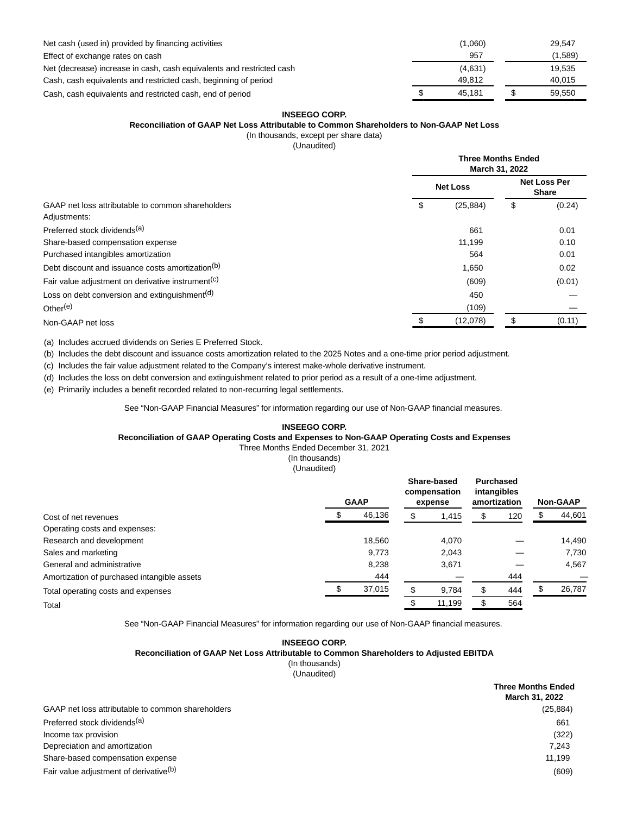| Net cash (used in) provided by financing activities                   | (1.060) | 29.547  |
|-----------------------------------------------------------------------|---------|---------|
| Effect of exchange rates on cash                                      | 957     | (1,589) |
| Net (decrease) increase in cash, cash equivalents and restricted cash | (4,631) | 19,535  |
| Cash, cash equivalents and restricted cash, beginning of period       | 49.812  | 40,015  |
| Cash, cash equivalents and restricted cash, end of period             | 45.181  | 59.550  |

# **INSEEGO CORP.**

# **Reconciliation of GAAP Net Loss Attributable to Common Shareholders to Non-GAAP Net Loss**

(In thousands, except per share data)

(Unaudited)

|                                                               | <b>Three Months Ended</b><br>March 31, 2022 |    |                                     |  |
|---------------------------------------------------------------|---------------------------------------------|----|-------------------------------------|--|
| GAAP net loss attributable to common shareholders             | <b>Net Loss</b>                             |    | <b>Net Loss Per</b><br><b>Share</b> |  |
|                                                               | \$<br>(25, 884)                             | \$ | (0.24)                              |  |
| Adjustments:                                                  |                                             |    |                                     |  |
| Preferred stock dividends <sup>(a)</sup>                      | 661                                         |    | 0.01                                |  |
| Share-based compensation expense                              | 11.199                                      |    | 0.10                                |  |
| Purchased intangibles amortization                            | 564                                         |    | 0.01                                |  |
| Debt discount and issuance costs amortization <sup>(b)</sup>  | 1,650                                       |    | 0.02                                |  |
| Fair value adjustment on derivative instrument <sup>(c)</sup> | (609)                                       |    | (0.01)                              |  |
| Loss on debt conversion and extinguishment <sup>(d)</sup>     | 450                                         |    |                                     |  |
| Other $(e)$                                                   | (109)                                       |    |                                     |  |
| Non-GAAP net loss                                             | (12,078)                                    | \$ | (0.11)                              |  |

(a) Includes accrued dividends on Series E Preferred Stock.

(b) Includes the debt discount and issuance costs amortization related to the 2025 Notes and a one-time prior period adjustment.

(c) Includes the fair value adjustment related to the Company's interest make-whole derivative instrument.

(d) Includes the loss on debt conversion and extinguishment related to prior period as a result of a one-time adjustment.

(e) Primarily includes a benefit recorded related to non-recurring legal settlements.

See "Non-GAAP Financial Measures" for information regarding our use of Non-GAAP financial measures.

# **INSEEGO CORP.**

**Reconciliation of GAAP Operating Costs and Expenses to Non-GAAP Operating Costs and Expenses**

Three Months Ended December 31, 2021

(In thousands) (Unaudited)

|                                             | <b>GAAP</b> |        | Share-based<br>compensation<br>expense |        | <b>Purchased</b><br>intangibles<br>amortization |     | <b>Non-GAAP</b> |        |
|---------------------------------------------|-------------|--------|----------------------------------------|--------|-------------------------------------------------|-----|-----------------|--------|
| Cost of net revenues                        |             | 46,136 |                                        | 1,415  | \$                                              | 120 | S               | 44,601 |
| Operating costs and expenses:               |             |        |                                        |        |                                                 |     |                 |        |
| Research and development                    |             | 18,560 |                                        | 4.070  |                                                 |     |                 | 14,490 |
| Sales and marketing                         |             | 9.773  |                                        | 2.043  |                                                 |     |                 | 7,730  |
| General and administrative                  |             | 8,238  |                                        | 3,671  |                                                 |     |                 | 4,567  |
| Amortization of purchased intangible assets |             | 444    |                                        |        |                                                 | 444 |                 |        |
| Total operating costs and expenses          | ጦ           | 37,015 |                                        | 9,784  | ß.                                              | 444 |                 | 26,787 |
| Total                                       |             |        |                                        | 11,199 | £.                                              | 564 |                 |        |

See "Non-GAAP Financial Measures" for information regarding our use of Non-GAAP financial measures.

# **INSEEGO CORP.**

# **Reconciliation of GAAP Net Loss Attributable to Common Shareholders to Adjusted EBITDA**

(In thousands)

(Unaudited)

|                                                    | <b>Three Months Ended</b><br>March 31, 2022 |
|----------------------------------------------------|---------------------------------------------|
| GAAP net loss attributable to common shareholders  | (25, 884)                                   |
| Preferred stock dividends <sup>(a)</sup>           | 661                                         |
| Income tax provision                               | (322)                                       |
| Depreciation and amortization                      | 7.243                                       |
| Share-based compensation expense                   | 11.199                                      |
| Fair value adjustment of derivative <sup>(b)</sup> | (609)                                       |